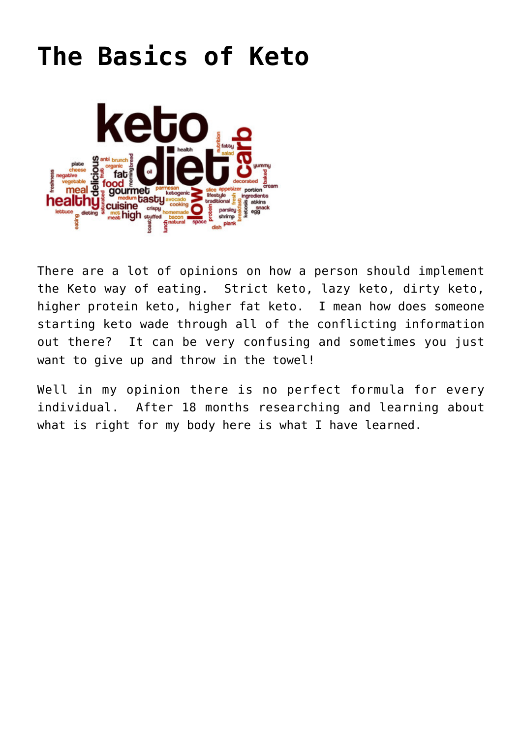## **[The Basics of Keto](https://ketokeepingitsimple.com/the-basics-of-keto/)**



There are a lot of opinions on how a person should implement the Keto way of eating. Strict keto, lazy keto, dirty keto, higher protein keto, higher fat keto. I mean how does someone starting keto wade through all of the conflicting information out there? It can be very confusing and sometimes you just want to give up and throw in the towel!

Well in my opinion there is no perfect formula for every individual. After 18 months researching and learning about what is right for my body here is what I have learned.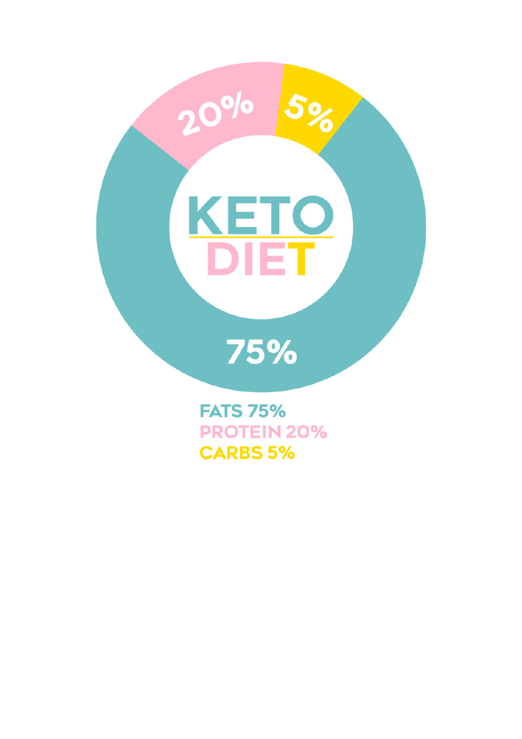

**PROTEIN 20% CARBS 5%**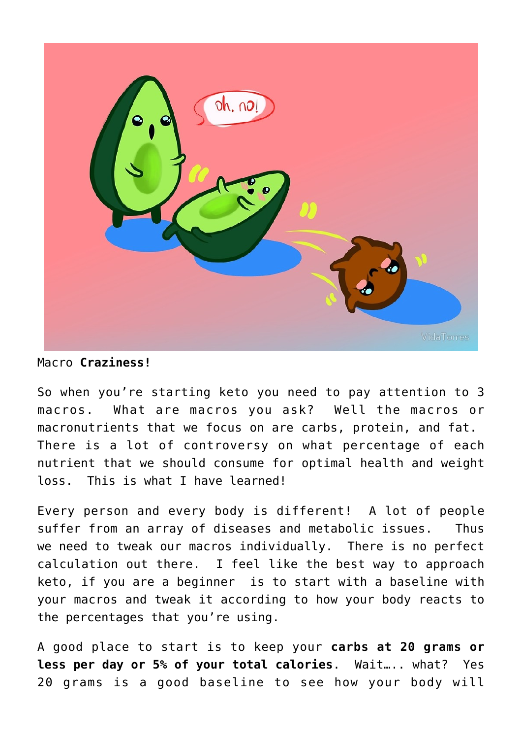

## Macro **Craziness!**

So when you're starting keto you need to pay attention to 3 macros. What are macros you ask? Well the macros or macronutrients that we focus on are carbs, protein, and fat. There is a lot of controversy on what percentage of each nutrient that we should consume for optimal health and weight loss. This is what I have learned!

Every person and every body is different! A lot of people suffer from an array of diseases and metabolic issues. Thus we need to tweak our macros individually. There is no perfect calculation out there. I feel like the best way to approach keto, if you are a beginner is to start with a baseline with your macros and tweak it according to how your body reacts to the percentages that you're using.

A good place to start is to keep your **carbs at 20 grams or less per day or 5% of your total calories**. Wait….. what? Yes 20 grams is a good baseline to see how your body will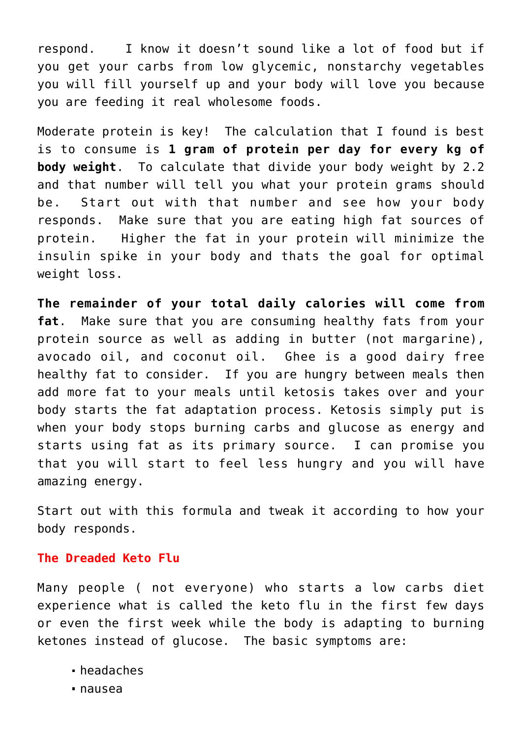respond. I know it doesn't sound like a lot of food but if you get your carbs from low glycemic, nonstarchy vegetables you will fill yourself up and your body will love you because you are feeding it real wholesome foods.

Moderate protein is key! The calculation that I found is best is to consume is **1 gram of protein per day for every kg of body weight**. To calculate that divide your body weight by 2.2 and that number will tell you what your protein grams should be. Start out with that number and see how your body responds. Make sure that you are eating high fat sources of protein. Higher the fat in your protein will minimize the insulin spike in your body and thats the goal for optimal weight loss.

**The remainder of your total daily calories will come from fat**. Make sure that you are consuming healthy fats from your protein source as well as adding in butter (not margarine), avocado oil, and coconut oil. Ghee is a good dairy free healthy fat to consider. If you are hungry between meals then add more fat to your meals until ketosis takes over and your body starts the fat adaptation process. Ketosis simply put is when your body stops burning carbs and glucose as energy and starts using fat as its primary source. I can promise you that you will start to feel less hungry and you will have amazing energy.

Start out with this formula and tweak it according to how your body responds.

## **The Dreaded Keto Flu**

Many people ( not everyone) who starts a low carbs diet experience what is called the keto flu in the first few days or even the first week while the body is adapting to burning ketones instead of glucose. The basic symptoms are:

- headaches
- nausea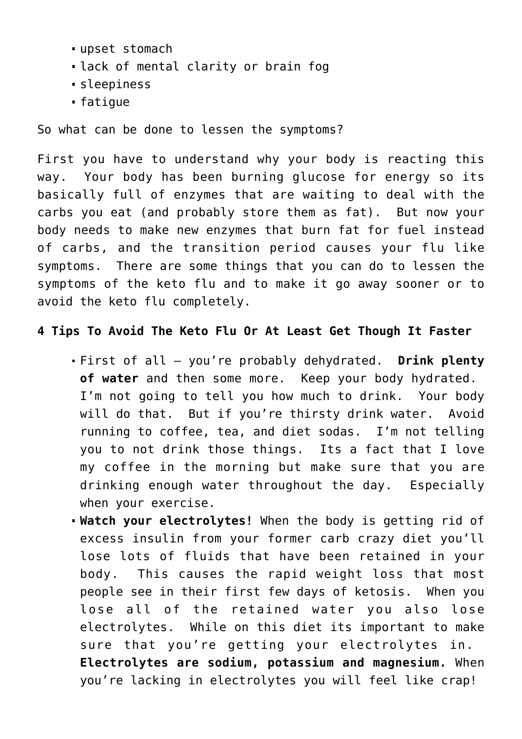- upset stomach
- lack of mental clarity or brain fog
- sleepiness
- fatigue

So what can be done to lessen the symptoms?

First you have to understand why your body is reacting this way. Your body has been burning glucose for energy so its basically full of enzymes that are waiting to deal with the carbs you eat (and probably store them as fat). But now your body needs to make new enzymes that burn fat for fuel instead of carbs, and the transition period causes your flu like symptoms. There are some things that you can do to lessen the symptoms of the keto flu and to make it go away sooner or to avoid the keto flu completely.

## **4 Tips To Avoid The Keto Flu Or At Least Get Though It Faster**

- First of all you're probably dehydrated. **Drink plenty of water** and then some more. Keep your body hydrated. I'm not going to tell you how much to drink. Your body will do that. But if you're thirsty drink water. Avoid running to coffee, tea, and diet sodas. I'm not telling you to not drink those things. Its a fact that I love my coffee in the morning but make sure that you are drinking enough water throughout the day. Especially when your exercise.
- **Watch your electrolytes!** When the body is getting rid of excess insulin from your former carb crazy diet you'll lose lots of fluids that have been retained in your body. This causes the rapid weight loss that most people see in their first few days of ketosis. When you lose all of the retained water you also lose electrolytes. While on this diet its important to make sure that you're getting your electrolytes in. **Electrolytes are sodium, potassium and magnesium.** When you're lacking in electrolytes you will feel like crap!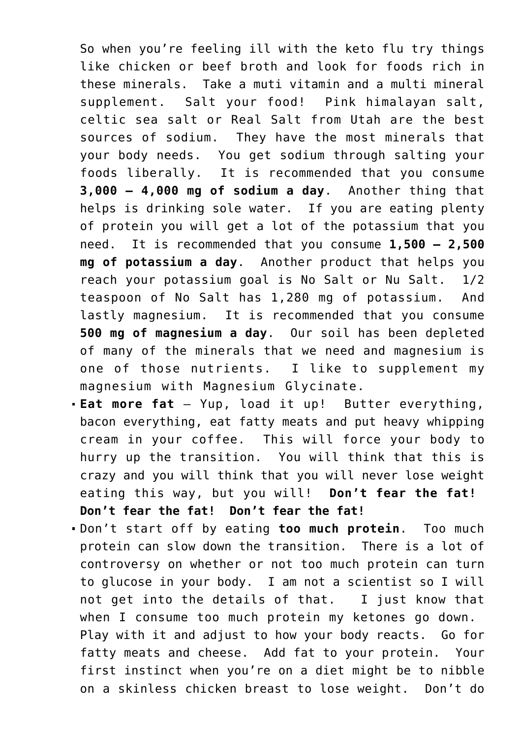So when you're feeling ill with the keto flu try things like chicken or beef broth and look for foods rich in these minerals. Take a muti vitamin and a multi mineral supplement. Salt your food! Pink himalayan salt, celtic sea salt or Real Salt from Utah are the best sources of sodium. They have the most minerals that your body needs. You get sodium through salting your foods liberally. It is recommended that you consume **3,000 – 4,000 mg of sodium a day**. Another thing that helps is drinking sole water. If you are eating plenty of protein you will get a lot of the potassium that you need. It is recommended that you consume **1,500 – 2,500 mg of potassium a day**. Another product that helps you reach your potassium goal is No Salt or Nu Salt. 1/2 teaspoon of No Salt has 1,280 mg of potassium. And lastly magnesium. It is recommended that you consume **500 mg of magnesium a day**. Our soil has been depleted of many of the minerals that we need and magnesium is one of those nutrients. I like to supplement my magnesium with Magnesium Glycinate.

- **Eat more fat** Yup, load it up! Butter everything, bacon everything, eat fatty meats and put heavy whipping cream in your coffee. This will force your body to hurry up the transition. You will think that this is crazy and you will think that you will never lose weight eating this way, but you will! **Don't fear the fat! Don't fear the fat! Don't fear the fat!**
- Don't start off by eating **too much protein**. Too much protein can slow down the transition. There is a lot of controversy on whether or not too much protein can turn to glucose in your body. I am not a scientist so I will not get into the details of that. I just know that when I consume too much protein my ketones go down. Play with it and adjust to how your body reacts. Go for fatty meats and cheese. Add fat to your protein. Your first instinct when you're on a diet might be to nibble on a skinless chicken breast to lose weight. Don't do